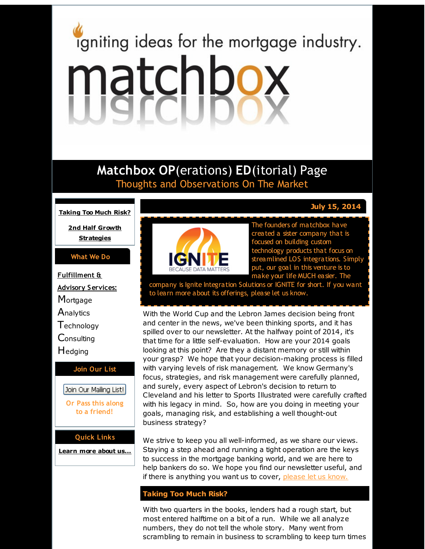# <span id="page-0-0"></span>igniting ideas for the mortgage industry. matchbox

# **Matchbox OP**(erations) **ED**(itorial) Page Thoughts and Observations On The Market

**[Taking](#page-0-0) Too Much Risk?**

**2nd Half Growth [Strategies](#page-0-0)**

#### **What We Do**

**Fulfillment & Advisory Services: Mortgage Analytics T**echnology **Consulting** Hedging **Join Our List**

Join Our Mailing List! **Or Pass this along**

**to a friend!**

#### **Quick Links**

**[Learn](http://r20.rs6.net/tn.jsp?f=001ktWHQyc7fyhbo1icrV0f8JaKdr3H6ushGgJwT5hbA6eUKs4grnMZxUsMft45pF1FjyzmBHeD5vJWUHxpA829hqpaF-Pu7H5z6BnGxrsCVYLKEo4KqRQDWHDHogJjCPJC_bg65aqmkNMWBfARjNP4V6bfW8pdFMwcjyFYW2rg4EZCjk3bsnNnXQ==&c=&ch=) more about u[s...](http://r20.rs6.net/tn.jsp?f=001ktWHQyc7fyhbo1icrV0f8JaKdr3H6ushGgJwT5hbA6eUKs4grnMZxUsMft45pF1FjyzmBHeD5vJWUHxpA829hqpaF-Pu7H5z6BnGxrsCVYLKEo4KqRQDWHDHogJjCPJC_bg65aqmkNMWBfARjNP4V6bfW8pdFMwcjyFYW2rg4EZCjk3bsnNnXQ==&c=&ch=)**



The founders of matchbox have created a sister company that is focused on building custom technology products that focus on streamlined LOS integrations. Simply put, our goal in this venture is to make your life MUCH easier. The

company is Ignite Integration Solutions or IGNITE for short. If you want to learn more about its offerings, please let us know.

With the World Cup and the Lebron James decision being front and center in the news, we've been thinking sports, and it has spilled over to our newsletter. At the halfway point of 2014, it's that time for a little self-evaluation. How are your 2014 goals looking at this point? Are they a distant memory or still within your grasp? We hope that your decision-making process is filled with varying levels of risk management. We know Germany's focus, strategies, and risk management were carefully planned, and surely, every aspect of Lebron's decision to return to Cleveland and his letter to Sports Illustrated were carefully crafted with his legacy in mind. So, how are you doing in meeting your goals, managing risk, and establishing a well thought-out business strategy?

We strive to keep you all well-informed, as we share our views. Staying a step ahead and running a tight operation are the keys to success in the mortgage banking world, and we are here to help bankers do so. We hope you find our newsletter useful, and if there is anything you want us to cover, [please](http://r20.rs6.net/tn.jsp?f=001ktWHQyc7fyhbo1icrV0f8JaKdr3H6ushGgJwT5hbA6eUKs4grnMZxdSX5Gq-NyL5FMBzwIwZZ54rPqixQptH3-zlPGo_wTj8EcuktPSPUYbRAqZRiQavgRBWRV3dL1bDdjr5Oy03eVt8C4j2U6F-SEp1KUTOjA-1Nq4FzgFf7FOlpNg_aQGvUVDP2kyH0BDH&c=&ch=) let us know.

#### **Taking Too Much Risk?**

With two quarters in the books, lenders had a rough start, but most entered halftime on a bit of a run. While we all analyze numbers, they do not tell the whole story. Many went from scrambling to remain in business to scrambling to keep turn times

### **July 15, 2014**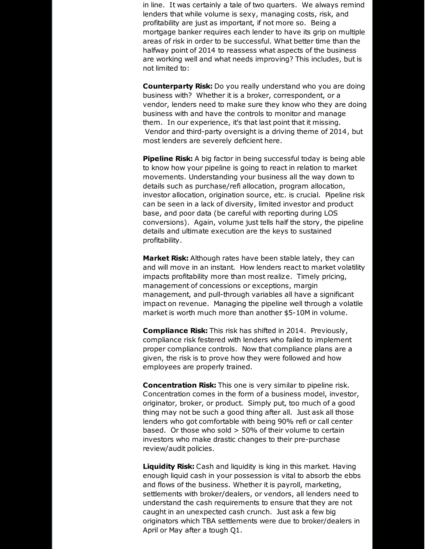in line. It was certainly a tale of two quarters. We always remind lenders that while volume is sexy, managing costs, risk, and profitability are just as important, if not more so. Being a mortgage banker requires each lender to have its grip on multiple areas of risk in order to be successful. What better time than the halfway point of 2014 to reassess what aspects of the business are working well and what needs improving? This includes, but is not limited to:

**Counterparty Risk:** Do you really understand who you are doing business with? Whether it is a broker, correspondent, or a vendor, lenders need to make sure they know who they are doing business with and have the controls to monitor and manage them. In our experience, it's that last point that it missing. Vendor and third-party oversight is a driving theme of 2014, but most lenders are severely deficient here.

**Pipeline Risk:** A big factor in being successful today is being able to know how your pipeline is going to react in relation to market movements. Understanding your business all the way down to details such as purchase/refi allocation, program allocation, investor allocation, origination source, etc. is crucial. Pipeline risk can be seen in a lack of diversity, limited investor and product base, and poor data (be careful with reporting during LOS conversions). Again, volume just tells half the story, the pipeline details and ultimate execution are the keys to sustained profitability.

**Market Risk:** Although rates have been stable lately, they can and will move in an instant. How lenders react to market volatility impacts profitability more than most realize. Timely pricing, management of concessions or exceptions, margin management, and pull-through variables all have a significant impact on revenue. Managing the pipeline well through a volatile market is worth much more than another \$5-10M in volume.

**Compliance Risk:** This risk has shifted in 2014. Previously, compliance risk festered with lenders who failed to implement proper compliance controls. Now that compliance plans are a given, the risk is to prove how they were followed and how employees are properly trained.

**Concentration Risk:** This one is very similar to pipeline risk. Concentration comes in the form of a business model, investor, originator, broker, or product. Simply put, too much of a good thing may not be such a good thing after all. Just ask all those lenders who got comfortable with being 90% refi or call center based. Or those who sold > 50% of their volume to certain investors who make drastic changes to their pre-purchase review/audit policies.

**Liquidity Risk:** Cash and liquidity is king in this market. Having enough liquid cash in your possession is vital to absorb the ebbs and flows of the business. Whether it is payroll, marketing, settlements with broker/dealers, or vendors, all lenders need to understand the cash requirements to ensure that they are not caught in an unexpected cash crunch. Just ask a few big originators which TBA settlements were due to broker/dealers in April or May after a tough Q1.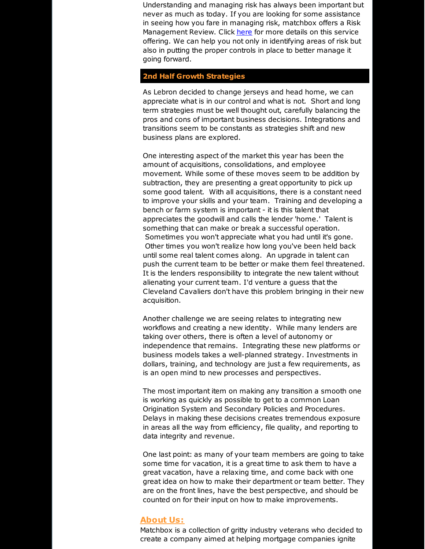Understanding and managing risk has always been important but never as much as today. If you are looking for some assistance in seeing how you fare in managing risk, matchbox offers a Risk Management Review. Click [here](http://r20.rs6.net/tn.jsp?f=001ktWHQyc7fyhbo1icrV0f8JaKdr3H6ushGgJwT5hbA6eUKs4grnMZxR3m47YjRB_2MRdgH1vbgbX6Ku6b6w1nLSJN34mJ0qzttF_OOgr0umWcfKlpBoE_M9Il53tbB45F5vu9GgNgBWiSEnYppqtcIBMbSXUkecNfZyuecfDZ9VuFWUdCvth50xYAMLTZuGFyCbNcNVD5MzSFSTSwhly988-irZRLF8r8YW7jJ3Q7QeO_FL_EyrmrE2y0z4XGHyQjNEhBNRFld8c=&c=&ch=) for more details on this service offering. We can help you not only in identifying areas of risk but also in putting the proper controls in place to better manage it going forward.

## **2nd Half Growth Strategies**

As Lebron decided to change jerseys and head home, we can appreciate what is in our control and what is not. Short and long term strategies must be well thought out, carefully balancing the pros and cons of important business decisions. Integrations and transitions seem to be constants as strategies shift and new business plans are explored.

One interesting aspect of the market this year has been the amount of acquisitions, consolidations, and employee movement. While some of these moves seem to be addition by subtraction, they are presenting a great opportunity to pick up some good talent. With all acquisitions, there is a constant need to improve your skills and your team. Training and developing a bench or farm system is important - it is this talent that appreciates the goodwill and calls the lender 'home.' Talent is something that can make or break a successful operation. Sometimes you won't appreciate what you had until it's gone. Other times you won't realize how long you've been held back until some real talent comes along. An upgrade in talent can push the current team to be better or make them feel threatened. It is the lenders responsibility to integrate the new talent without alienating your current team. I'd venture a guess that the Cleveland Cavaliers don't have this problem bringing in their new acquisition.

Another challenge we are seeing relates to integrating new workflows and creating a new identity. While many lenders are taking over others, there is often a level of autonomy or independence that remains. Integrating these new platforms or business models takes a well-planned strategy. Investments in dollars, training, and technology are just a few requirements, as is an open mind to new processes and perspectives.

The most important item on making any transition a smooth one is working as quickly as possible to get to a common Loan Origination System and Secondary Policies and Procedures. Delays in making these decisions creates tremendous exposure in areas all the way from efficiency, file quality, and reporting to data integrity and revenue.

One last point: as many of your team members are going to take some time for vacation, it is a great time to ask them to have a great vacation, have a relaxing time, and come back with one great idea on how to make their department or team better. They are on the front lines, have the best perspective, and should be counted on for their input on how to make improvements.

#### **About Us:**

Matchbox is a collection of gritty industry veterans who decided to create a company aimed at helping mortgage companies ignite